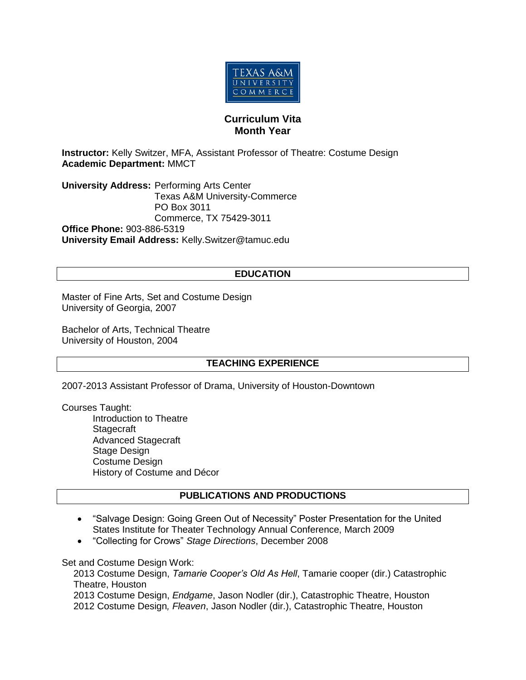

# **Curriculum Vita Month Year**

**Instructor:** Kelly Switzer, MFA, Assistant Professor of Theatre: Costume Design **Academic Department:** MMCT

**University Address:** Performing Arts Center Texas A&M University-Commerce PO Box 3011 Commerce, TX 75429-3011 **Office Phone:** [903-886-5319](tel:903-886-5319) **University Email Address:** Kelly.Switzer@tamuc.edu

### **EDUCATION**

Master of Fine Arts, Set and Costume Design University of Georgia, 2007

Bachelor of Arts, Technical Theatre University of Houston, 2004

### **TEACHING EXPERIENCE**

2007-2013 Assistant Professor of Drama, University of Houston-Downtown

Courses Taught:

Introduction to Theatre **Stagecraft** Advanced Stagecraft Stage Design Costume Design History of Costume and Décor

## **PUBLICATIONS AND PRODUCTIONS**

- "Salvage Design: Going Green Out of Necessity" Poster Presentation for the United States Institute for Theater Technology Annual Conference, March 2009
- "Collecting for Crows" *Stage Directions*, December 2008

Set and Costume Design Work:

2013 Costume Design, *Tamarie Cooper's Old As Hell*, Tamarie cooper (dir.) Catastrophic Theatre, Houston

2013 Costume Design, *Endgame*, Jason Nodler (dir.), Catastrophic Theatre, Houston 2012 Costume Design*, Fleaven*, Jason Nodler (dir.), Catastrophic Theatre, Houston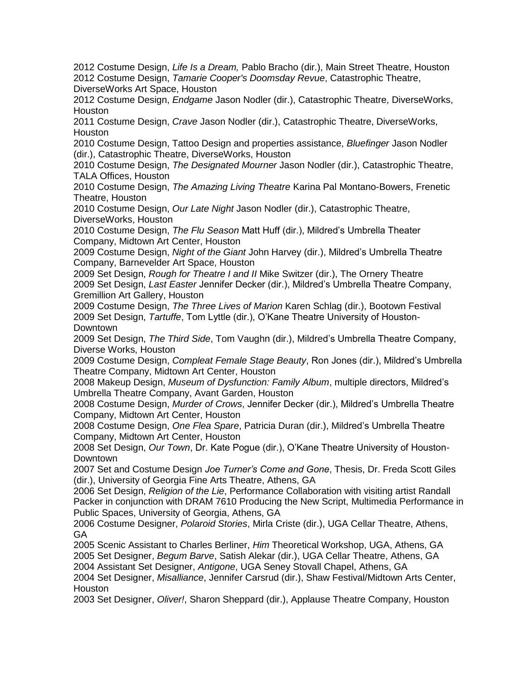2012 Costume Design, *Life Is a Dream,* Pablo Bracho (dir.), Main Street Theatre, Houston 2012 Costume Design, *Tamarie Cooper's Doomsday Revue*, Catastrophic Theatre, DiverseWorks Art Space, Houston

2012 Costume Design, *Endgame* Jason Nodler (dir.), Catastrophic Theatre, DiverseWorks, Houston

2011 Costume Design, *Crave* Jason Nodler (dir.), Catastrophic Theatre, DiverseWorks, Houston

2010 Costume Design, Tattoo Design and properties assistance, *Bluefinger* Jason Nodler (dir.), Catastrophic Theatre, DiverseWorks, Houston

2010 Costume Design, *The Designated Mourner* Jason Nodler (dir.), Catastrophic Theatre, TALA Offices, Houston

2010 Costume Design, *The Amazing Living Theatre* Karina Pal Montano-Bowers, Frenetic Theatre, Houston

2010 Costume Design, *Our Late Night* Jason Nodler (dir.), Catastrophic Theatre, DiverseWorks, Houston

2010 Costume Design, *The Flu Season* Matt Huff (dir.), Mildred's Umbrella Theater Company, Midtown Art Center, Houston

2009 Costume Design, *Night of the Giant* John Harvey (dir.), Mildred's Umbrella Theatre Company, Barnevelder Art Space, Houston

2009 Set Design, *Rough for Theatre I and II* Mike Switzer (dir.), The Ornery Theatre 2009 Set Design, *Last Easter* Jennifer Decker (dir.), Mildred's Umbrella Theatre Company, Gremillion Art Gallery, Houston

2009 Costume Design, *The Three Lives of Marion* Karen Schlag (dir.), Bootown Festival 2009 Set Design, *Tartuffe*, Tom Lyttle (dir.), O'Kane Theatre University of Houston-**Downtown** 

2009 Set Design, *The Third Side*, Tom Vaughn (dir.), Mildred's Umbrella Theatre Company, Diverse Works, Houston

2009 Costume Design, *Compleat Female Stage Beauty*, Ron Jones (dir.), Mildred's Umbrella Theatre Company, Midtown Art Center, Houston

2008 Makeup Design, *Museum of Dysfunction: Family Album*, multiple directors, Mildred's Umbrella Theatre Company, Avant Garden, Houston

2008 Costume Design, *Murder of Crows*, Jennifer Decker (dir.), Mildred's Umbrella Theatre Company, Midtown Art Center, Houston

2008 Costume Design, *One Flea Spare*, Patricia Duran (dir.), Mildred's Umbrella Theatre Company, Midtown Art Center, Houston

2008 Set Design, *Our Town*, Dr. Kate Pogue (dir.), O'Kane Theatre University of Houston-**Downtown** 

2007 Set and Costume Design *Joe Turner's Come and Gone*, Thesis, Dr. Freda Scott Giles (dir.), University of Georgia Fine Arts Theatre, Athens, GA

2006 Set Design, *Religion of the Lie*, Performance Collaboration with visiting artist Randall Packer in conjunction with DRAM 7610 Producing the New Script, Multimedia Performance in Public Spaces, University of Georgia, Athens, GA

2006 Costume Designer, *Polaroid Stories*, Mirla Criste (dir.), UGA Cellar Theatre, Athens, GA

2005 Scenic Assistant to Charles Berliner, *Him* Theoretical Workshop, UGA, Athens, GA 2005 Set Designer, *Begum Barve*, Satish Alekar (dir.), UGA Cellar Theatre, Athens, GA 2004 Assistant Set Designer, *Antigone*, UGA Seney Stovall Chapel, Athens, GA

2004 Set Designer, *Misalliance*, Jennifer Carsrud (dir.), Shaw Festival/Midtown Arts Center, **Houston** 

2003 Set Designer, *Oliver!*, Sharon Sheppard (dir.), Applause Theatre Company, Houston